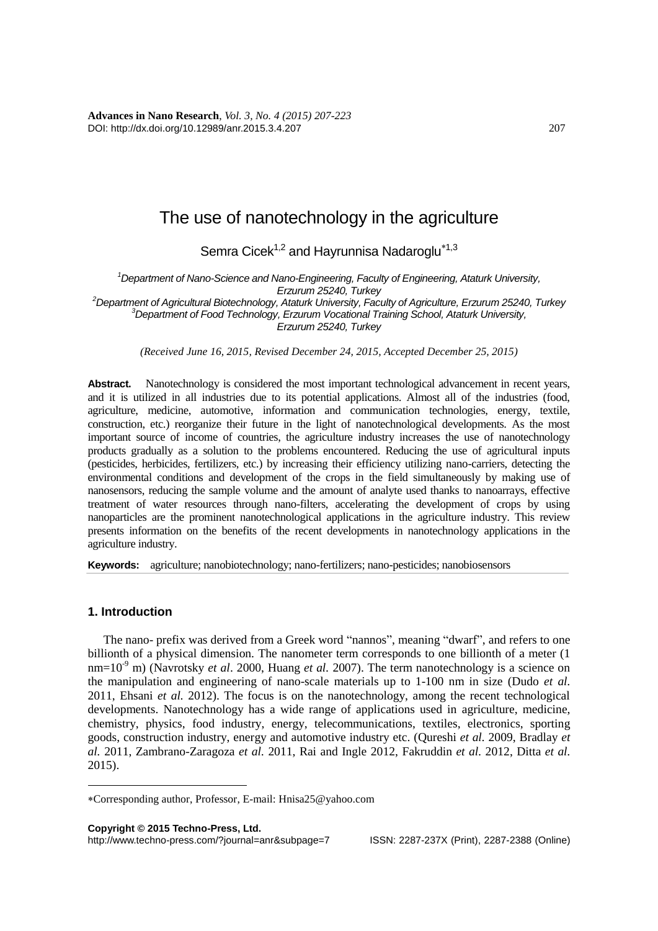**Advances in Nano Research**, *Vol. 3, No. 4 (2015) 207-223* DOI: http://dx.doi.org/10.12989/anr.2015.3.4.207 207

## The use of nanotechnology in the agriculture

Semra Cicek<sup>1,2</sup> and Hayrunnisa Nadaroglu<sup>\*1,3</sup>

*<sup>1</sup>Department of Nano-Science and Nano-Engineering, Faculty of Engineering, Ataturk University, Erzurum 25240, Turkey*

*<sup>2</sup>Department of Agricultural Biotechnology, Ataturk University, Faculty of Agriculture, Erzurum 25240, Turkey <sup>3</sup>Department of Food Technology, Erzurum Vocational Training School, Ataturk University, Erzurum 25240, Turkey*

*(Received June 16, 2015, Revised December 24, 2015, Accepted December 25, 2015)*

**Abstract.** Nanotechnology is considered the most important technological advancement in recent years, and it is utilized in all industries due to its potential applications. Almost all of the industries (food, agriculture, medicine, automotive, information and communication technologies, energy, textile, construction, etc.) reorganize their future in the light of nanotechnological developments. As the most important source of income of countries, the agriculture industry increases the use of nanotechnology products gradually as a solution to the problems encountered. Reducing the use of agricultural inputs (pesticides, herbicides, fertilizers, etc.) by increasing their efficiency utilizing nano-carriers, detecting the environmental conditions and development of the crops in the field simultaneously by making use of nanosensors, reducing the sample volume and the amount of analyte used thanks to nanoarrays, effective treatment of water resources through nano-filters, accelerating the development of crops by using nanoparticles are the prominent nanotechnological applications in the agriculture industry. This review presents information on the benefits of the recent developments in nanotechnology applications in the agriculture industry.

**Keywords:** agriculture; nanobiotechnology; nano-fertilizers; nano-pesticides; nanobiosensors

## **1. Introduction**

1

The nano- prefix was derived from a Greek word "nannos", meaning "dwarf", and refers to one billionth of a physical dimension. The nanometer term corresponds to one billionth of a meter (1 nm=10<sup>-9</sup> m) (Navrotsky *et al.* 2000, Huang *et al.* 2007). The term nanotechnology is a science on the manipulation and engineering of nano-scale materials up to 1-100 nm in size (Dudo *et al.* 2011, Ehsani *et al.* 2012). The focus is on the nanotechnology, among the recent technological developments. Nanotechnology has a wide range of applications used in agriculture, medicine, chemistry, physics, food industry, energy, telecommunications, textiles, electronics, sporting goods, construction industry, energy and automotive industry etc. (Qureshi *et al.* 2009, Bradlay *et al.* 2011, Zambrano-Zaragoza *et al.* 2011, Rai and Ingle 2012, Fakruddin *et al.* 2012, Ditta *et al.* 2015).

http://www.techno-press.com/?journal=anr&subpage=7 ISSN: 2287-237X (Print), 2287-2388 (Online)

Corresponding author, Professor, E-mail: Hnisa25@yahoo.com